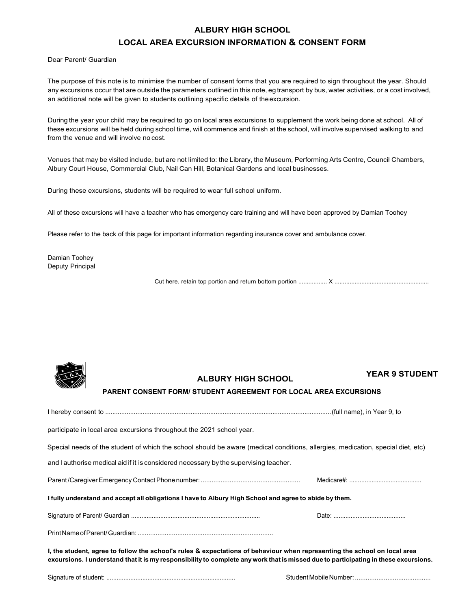## **ALBURY HIGH SCHOOL LOCAL AREA EXCURSION INFORMATION & CONSENT FORM**

Dear Parent/ Guardian

The purpose of this note is to minimise the number of consent forms that you are required to sign throughout the year. Should any excursions occur that are outside the parameters outlined in this note, eg transport by bus, water activities, or a cost involved, an additional note will be given to students outlining specific details of the excursion.

During the year your child may be required to go on local area excursions to supplement the work being done at school. All of these excursions will be held during school time, will commence and finish at the school, will involve supervised walking to and from the venue and will involve no cost.

Venues that may be visited include, but are not limited to: the Library, the Museum, Performing Arts Centre, Council Chambers, Albury Court House, Commercial Club, Nail Can Hill, Botanical Gardens and local businesses.

During these excursions, students will be required to wear full school uniform.

All of these excursions will have a teacher who has emergency care training and will have been approved by Damian Toohey

Please refer to the back of this page for important information regarding insurance cover and ambulance cover.

Damian Toohey Deputy Principal

Cut here, retain top portion and return bottom portion ................. X ........................................................



**ALBURY HIGH SCHOOL YEAR 9 STUDENT**

## **PARENT CONSENT FORM/ STUDENT AGREEMENT FOR LOCAL AREA EXCURSIONS**

| participate in local area excursions throughout the 2021 school year.                                                                                                                                                                                            |  |
|------------------------------------------------------------------------------------------------------------------------------------------------------------------------------------------------------------------------------------------------------------------|--|
| Special needs of the student of which the school should be aware (medical conditions, allergies, medication, special diet, etc)                                                                                                                                  |  |
| and I authorise medical aid if it is considered necessary by the supervising teacher.                                                                                                                                                                            |  |
|                                                                                                                                                                                                                                                                  |  |
| I fully understand and accept all obligations I have to Albury High School and agree to abide by them.                                                                                                                                                           |  |
|                                                                                                                                                                                                                                                                  |  |
|                                                                                                                                                                                                                                                                  |  |
| I, the student, agree to follow the school's rules & expectations of behaviour when representing the school on local area<br>excursions. I understand that it is my responsibility to complete any work that is missed due to participating in these excursions. |  |

Signature of student: ........................................................................... Student Mobile Number: ..........................................